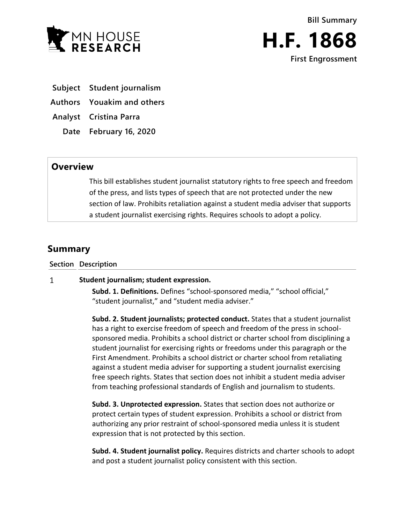



**First Engrossment**

**Subject Student journalism**

**Authors Youakim and others**

**Analyst Cristina Parra**

**Date February 16, 2020**

## **Overview**

This bill establishes student journalist statutory rights to free speech and freedom of the press, and lists types of speech that are not protected under the new section of law. Prohibits retaliation against a student media adviser that supports a student journalist exercising rights. Requires schools to adopt a policy.

## **Summary**

**Section Description**

## $\mathbf{1}$ **Student journalism; student expression.**

**Subd. 1. Definitions.** Defines "school-sponsored media," "school official," "student journalist," and "student media adviser."

**Subd. 2. Student journalists; protected conduct.** States that a student journalist has a right to exercise freedom of speech and freedom of the press in schoolsponsored media. Prohibits a school district or charter school from disciplining a student journalist for exercising rights or freedoms under this paragraph or the First Amendment. Prohibits a school district or charter school from retaliating against a student media adviser for supporting a student journalist exercising free speech rights. States that section does not inhibit a student media adviser from teaching professional standards of English and journalism to students.

**Subd. 3. Unprotected expression.** States that section does not authorize or protect certain types of student expression. Prohibits a school or district from authorizing any prior restraint of school-sponsored media unless it is student expression that is not protected by this section.

**Subd. 4. Student journalist policy.** Requires districts and charter schools to adopt and post a student journalist policy consistent with this section.